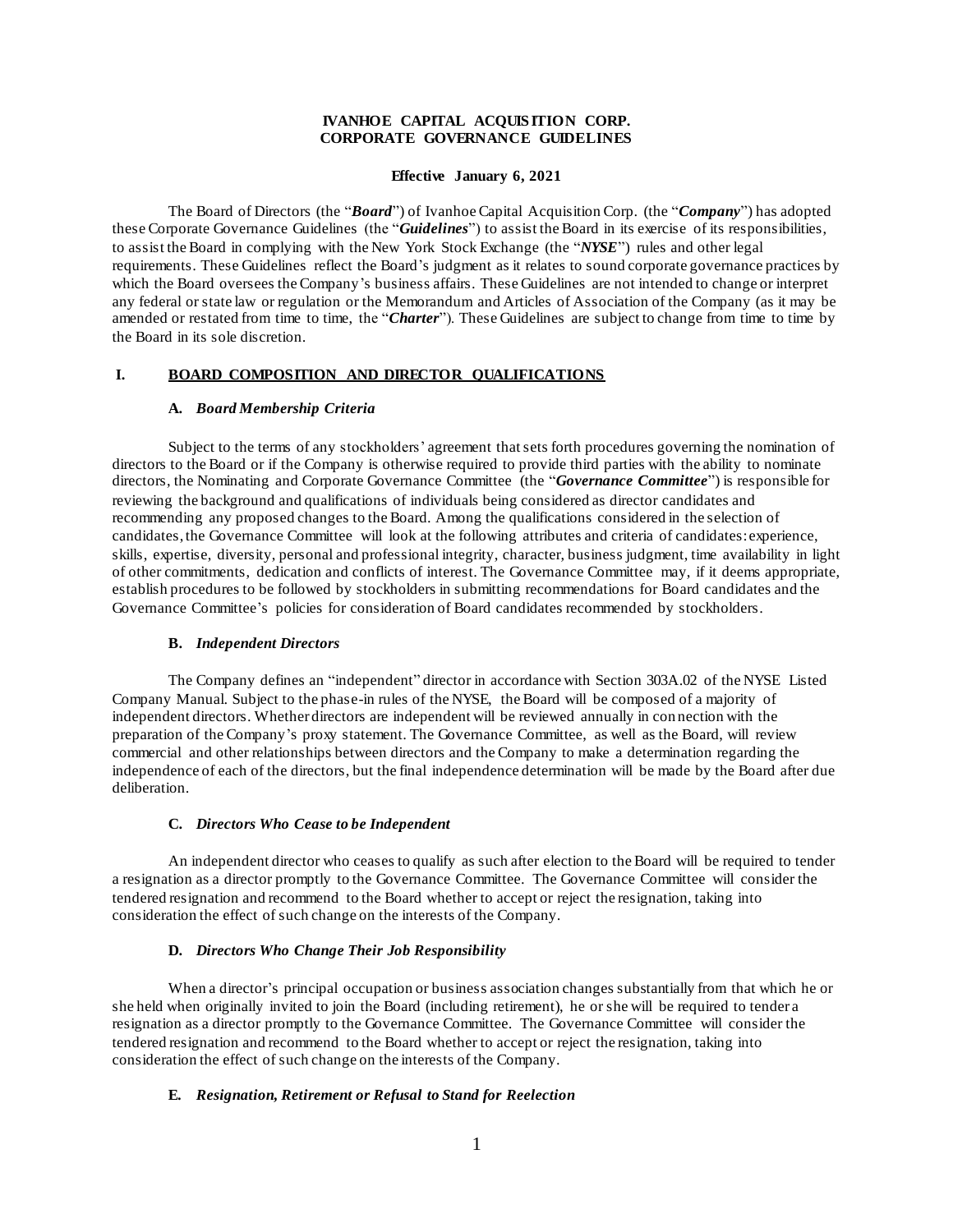## **IVANHOE CAPITAL ACQUIS ITION CORP. CORPORATE GOVERNANCE GUIDELINES**

### **Effective January 6, 2021**

The Board of Directors (the "*Board*") of Ivanhoe Capital Acquisition Corp. (the "*Company*") has adopted these Corporate Governance Guidelines (the "*Guidelines*") to assist the Board in its exercise of its responsibilities, to assist the Board in complying with the New York Stock Exchange (the "*NYSE*") rules and other legal requirements. These Guidelines reflect the Board's judgment as it relates to sound corporate governance practices by which the Board oversees the Company's business affairs. These Guidelines are not intended to change or interpret any federal or state law or regulation or the Memorandum and Articles of Association of the Company (as it may be amended or restated from time to time, the "*Charter*"). These Guidelines are subject to change from time to time by the Board in its sole discretion.

### **I. BOARD COMPOSITION AND DIRECTOR QUALIFICATIONS**

### **A.** *Board Membership Criteria*

Subject to the terms of any stockholders' agreement that sets forth procedures governing the nomination of directors to the Board or if the Company is otherwise required to provide third parties with the ability to nominate directors, the Nominating and Corporate Governance Committee (the "*Governance Committee*") is responsible for reviewing the background and qualifications of individuals being considered as director candidates and recommending any proposed changes to the Board. Among the qualifications considered in the selection of candidates, the Governance Committee will look at the following attributes and criteria of candidates: experience, skills, expertise, diversity, personal and professional integrity, character, business judgment, time availability in light of other commitments, dedication and conflicts of interest. The Governance Committee may, if it deems appropriate, establish procedures to be followed by stockholders in submitting recommendations for Board candidates and the Governance Committee's policies for consideration of Board candidates recommended by stockholders.

#### **B.** *Independent Directors*

The Company defines an "independent" director in accordance with Section 303A.02 of the NYSE Listed Company Manual. Subject to the phase-in rules of the NYSE, the Board will be composed of a majority of independent directors. Whether directors are independent will be reviewed annually in con nection with the preparation of the Company's proxy statement. The Governance Committee, as well as the Board, will review commercial and other relationships between directors and the Company to make a determination regarding the independence of each of the directors, but the final independence determination will be made by the Board after due deliberation.

#### **C.** *Directors Who Cease to be Independent*

An independent director who ceases to qualify as such after election to the Board will be required to tender a resignation as a director promptly to the Governance Committee. The Governance Committee will consider the tendered resignation and recommend to the Board whether to accept or reject the resignation, taking into consideration the effect of such change on the interests of the Company.

## **D.** *Directors Who Change Their Job Responsibility*

When a director's principal occupation or business association changes substantially from that which he or she held when originally invited to join the Board (including retirement), he or she will be required to tender a resignation as a director promptly to the Governance Committee. The Governance Committee will consider the tendered resignation and recommend to the Board whether to accept or reject the resignation, taking into consideration the effect of such change on the interests of the Company.

### **E.** *Resignation, Retirement or Refusal to Stand for Reelection*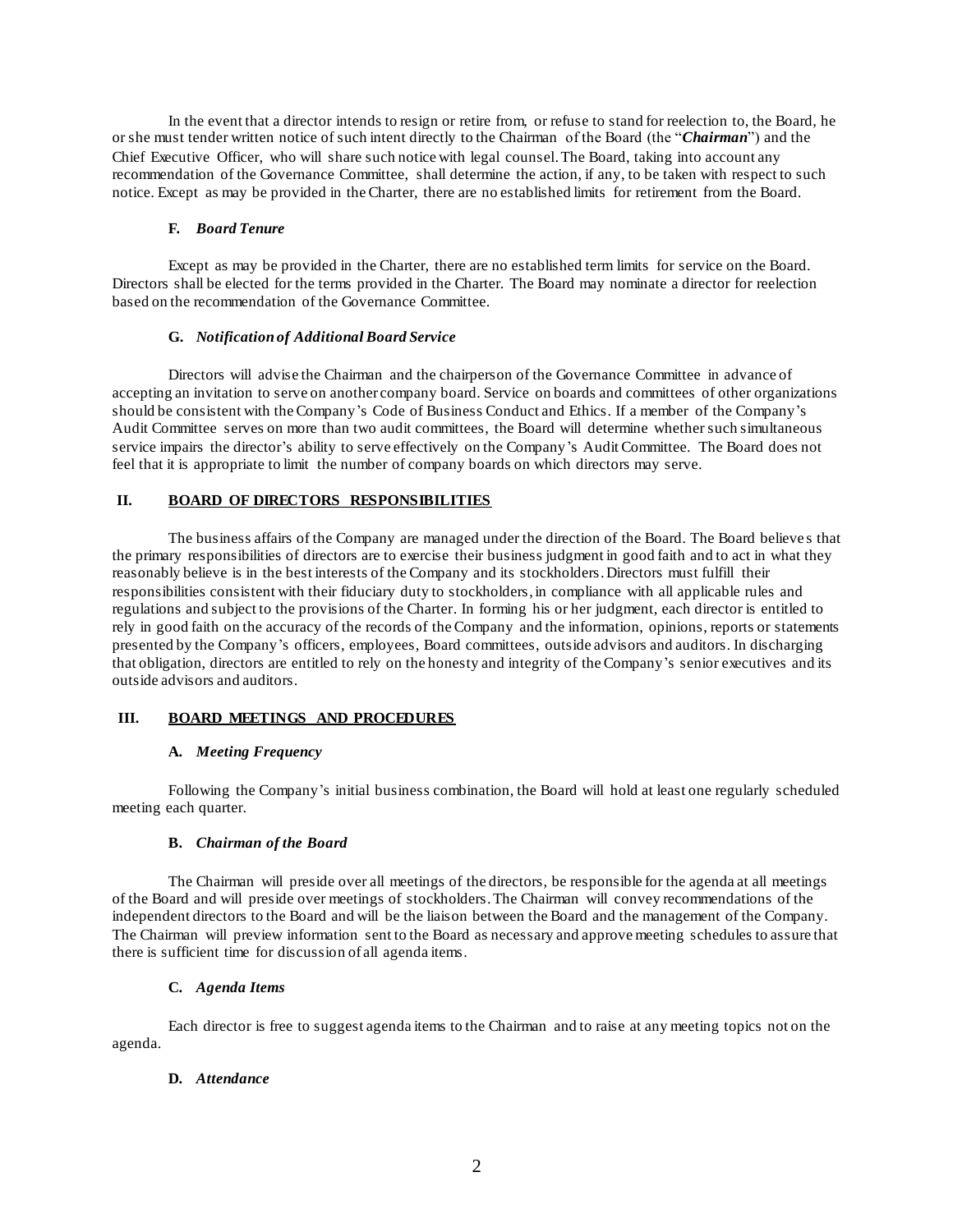In the event that a director intends to resign or retire from, or refuse to stand for reelection to, the Board, he or she must tender written notice of such intent directly to the Chairman of the Board (the "*Chairman*") and the Chief Executive Officer, who will share such notice with legal counsel. The Board, taking into account any recommendation of the Governance Committee, shall determine the action, if any, to be taken with respect to such notice. Except as may be provided in the Charter, there are no established limits for retirement from the Board.

## **F.** *Board Tenure*

Except as may be provided in the Charter, there are no established term limits for service on the Board. Directors shall be elected for the terms provided in the Charter. The Board may nominate a director for reelection based on the recommendation of the Governance Committee.

## **G.** *Notification of Additional Board Service*

Directors will advise the Chairman and the chairperson of the Governance Committee in advance of accepting an invitation to serve on another company board. Service on boards and committees of other organizations should be consistent with the Company's Code of Business Conduct and Ethics. If a member of the Company's Audit Committee serves on more than two audit committees, the Board will determine whether such simultaneous service impairs the director's ability to serve effectively on the Company's Audit Committee. The Board does not feel that it is appropriate to limit the number of company boards on which directors may serve.

# **II. BOARD OF DIRECTORS RESPONSIBILITIES**

The business affairs of the Company are managed under the direction of the Board. The Board believe s that the primary responsibilities of directors are to exercise their business judgment in good faith and to act in what they reasonably believe is in the best interests of the Company and its stockholders. Directors must fulfill their responsibilities consistent with their fiduciary duty to stockholders, in compliance with all applicable rules and regulations and subject to the provisions of the Charter. In forming his or her judgment, each director is entitled to rely in good faith on the accuracy of the records of the Company and the information, opinions, reports or statements presented by the Company's officers, employees, Board committees, outside advisors and auditors. In discharging that obligation, directors are entitled to rely on the honesty and integrity of the Company's senior executives and its outside advisors and auditors.

# **III. BOARD MEETINGS AND PROCEDURES**

# **A.** *Meeting Frequency*

Following the Company's initial business combination, the Board will hold at least one regularly scheduled meeting each quarter.

### **B.** *Chairman of the Board*

The Chairman will preside over all meetings of the directors, be responsible for the agenda at all meetings of the Board and will preside over meetings of stockholders. The Chairman will convey recommendations of the independent directors to the Board and will be the liaison between the Board and the management of the Company. The Chairman will preview information sent to the Board as necessary and approve meeting schedules to assure that there is sufficient time for discussion of all agenda items.

### **C.** *Agenda Items*

Each director is free to suggest agenda items to the Chairman and to raise at any meeting topics not on the agenda.

# **D.** *Attendance*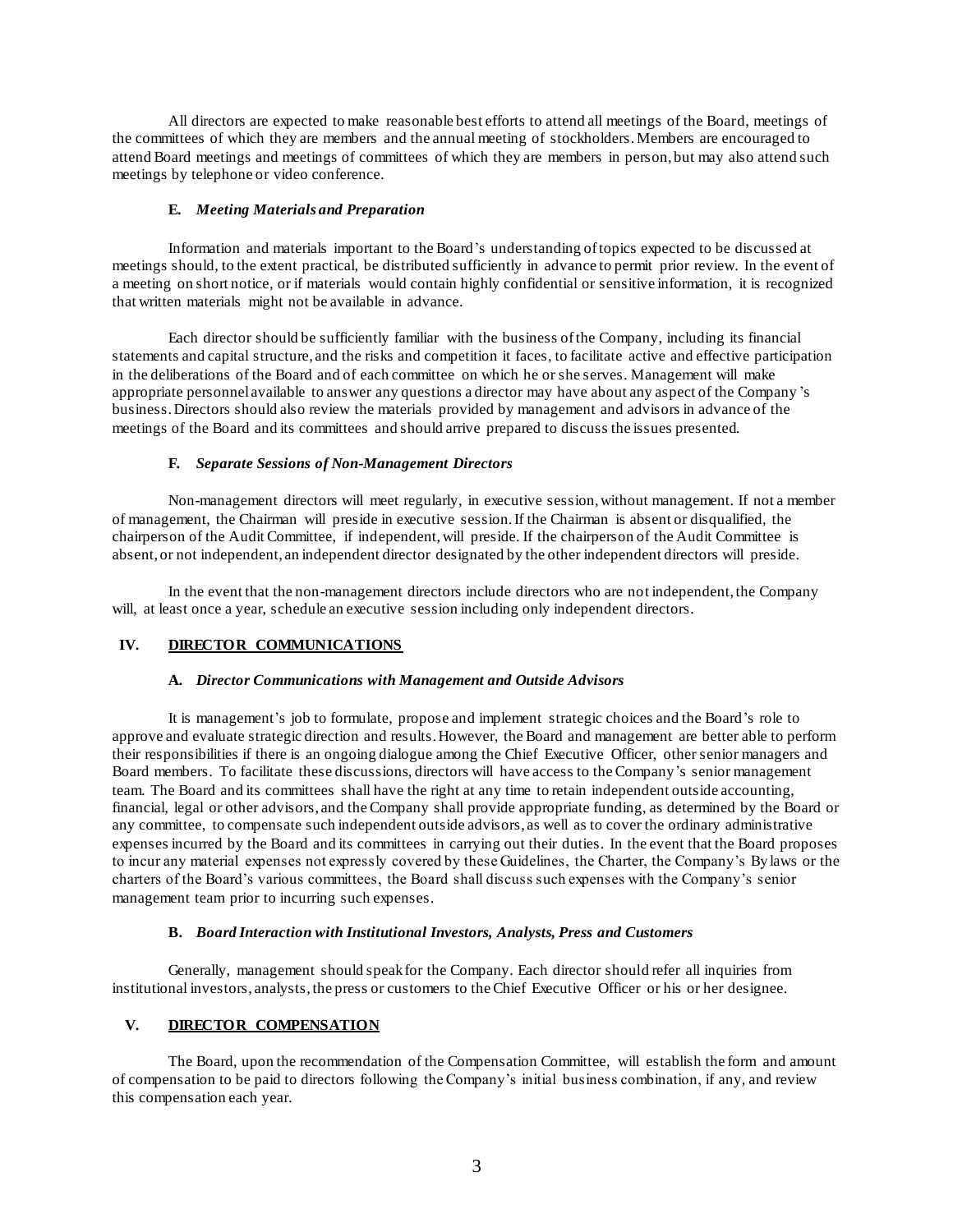All directors are expected to make reasonable best efforts to attend all meetings of the Board, meetings of the committees of which they are members and the annual meeting of stockholders.Members are encouraged to attend Board meetings and meetings of committees of which they are members in person, but may also attend such meetings by telephone or video conference.

### **E.** *Meeting Materials and Preparation*

Information and materials important to the Board's understanding of topics expected to be discussed at meetings should, to the extent practical, be distributed sufficiently in advance to permit prior review. In the event of a meeting on short notice, or if materials would contain highly confidential or sensitive information, it is recognized that written materials might not be available in advance.

Each director should be sufficiently familiar with the business of the Company, including its financial statements and capital structure, and the risks and competition it faces, to facilitate active and effective participation in the deliberations of the Board and of each committee on which he or she serves. Management will make appropriate personnel available to answer any questions a director may have about any aspect of the Company 's business. Directors should also review the materials provided by management and advisors in advance of the meetings of the Board and its committees and should arrive prepared to discuss the issues presented.

#### **F.** *Separate Sessions of Non-Management Directors*

Non-management directors will meet regularly, in executive session, without management. If not a member of management, the Chairman will preside in executive session. If the Chairman is absent or disqualified, the chairperson of the Audit Committee, if independent, will preside. If the chairperson of the Audit Committee is absent, or not independent, an independent director designated by the other independent directors will preside.

In the event that the non-management directors include directors who are not independent, the Company will, at least once a year, schedule an executive session including only independent directors.

## **IV. DIRECTOR COMMUNICATIONS**

#### **A.** *Director Communications with Management and Outside Advisors*

It is management's job to formulate, propose and implement strategic choices and the Board's role to approve and evaluate strategic direction and results. However, the Board and management are better able to perform their responsibilities if there is an ongoing dialogue among the Chief Executive Officer, other senior managers and Board members. To facilitate these discussions, directors will have access to the Company's senior management team. The Board and its committees shall have the right at any time to retain independent outside accounting, financial, legal or other advisors, and the Company shall provide appropriate funding, as determined by the Board or any committee, to compensate such independent outside advisors, as well as to cover the ordinary administrative expenses incurred by the Board and its committees in carrying out their duties. In the event that the Board proposes to incur any material expenses not expressly covered by these Guidelines, the Charter, the Company's By laws or the charters of the Board's various committees, the Board shall discuss such expenses with the Company's senior management team prior to incurring such expenses.

## **B.** *Board Interaction with Institutional Investors, Analysts, Press and Customers*

Generally, management should speak for the Company. Each director should refer all inquiries from institutional investors, analysts, the press or customers to the Chief Executive Officer or his or her designee.

## **V. DIRECTOR COMPENSATION**

The Board, upon the recommendation of the Compensation Committee, will establish the form and amount of compensation to be paid to directors following the Company's initial business combination, if any, and review this compensation each year.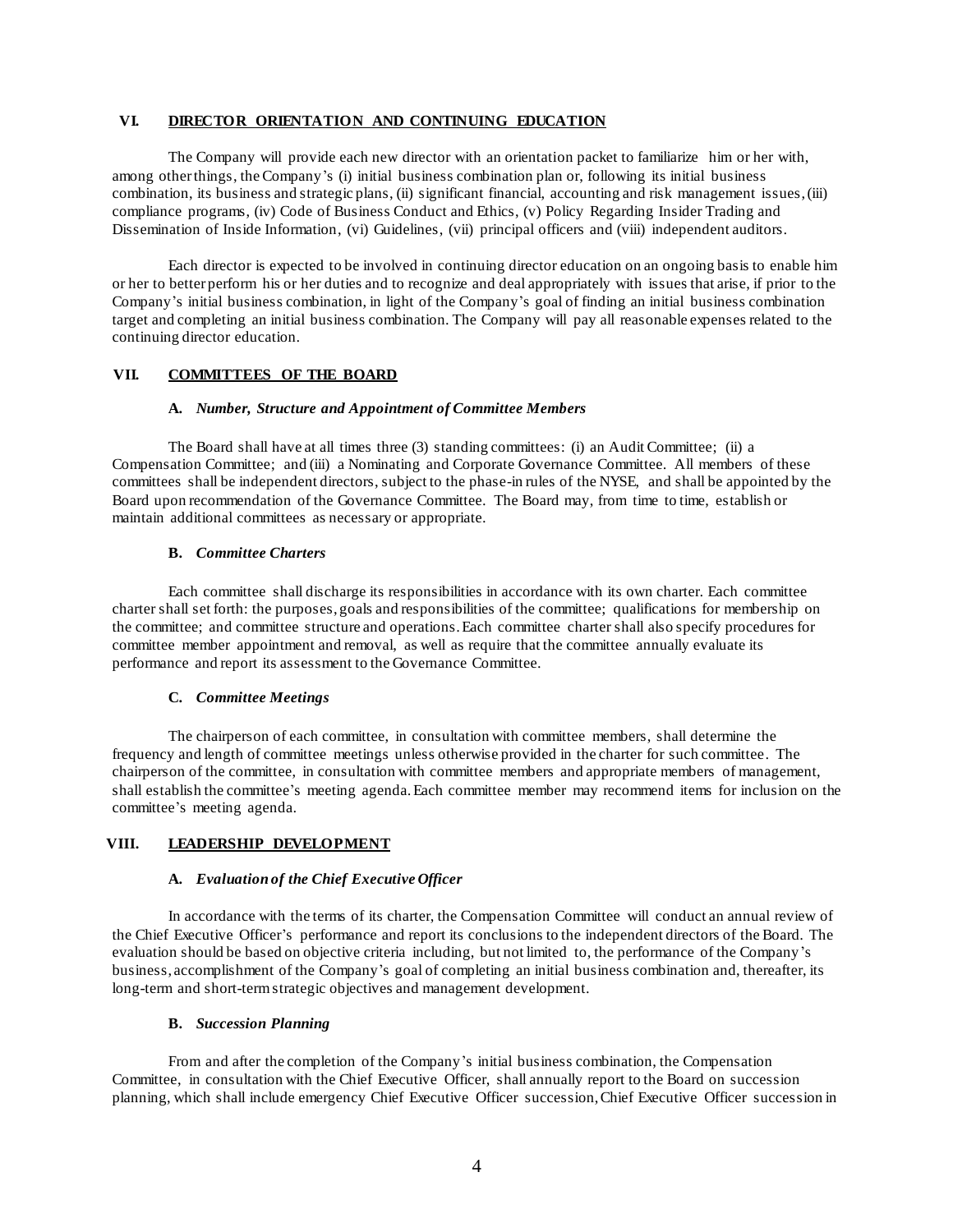### **VI. DIRECTOR ORIENTATION AND CONTINUING EDUCATION**

The Company will provide each new director with an orientation packet to familiarize him or her with, among other things, the Company's (i) initial business combination plan or, following its initial business combination, its business and strategic plans, (ii) significant financial, accounting and risk management issues, (iii) compliance programs, (iv) Code of Business Conduct and Ethics, (v) Policy Regarding Insider Trading and Dissemination of Inside Information, (vi) Guidelines, (vii) principal officers and (viii) independent auditors.

Each director is expected to be involved in continuing director education on an ongoing basis to enable him or her to better perform his or her duties and to recognize and deal appropriately with issues that arise, if prior to the Company's initial business combination, in light of the Company's goal of finding an initial business combination target and completing an initial business combination. The Company will pay all reasonable expenses related to the continuing director education.

### **VII. COMMITTEES OF THE BOARD**

#### **A.** *Number, Structure and Appointment of Committee Members*

The Board shall have at all times three (3) standing committees: (i) an Audit Committee; (ii) a Compensation Committee; and (iii) a Nominating and Corporate Governance Committee. All members of these committees shall be independent directors, subject to the phase-in rules of the NYSE, and shall be appointed by the Board upon recommendation of the Governance Committee. The Board may, from time to time, establish or maintain additional committees as necessary or appropriate.

#### **B.** *Committee Charters*

Each committee shall discharge its responsibilities in accordance with its own charter. Each committee charter shall set forth: the purposes, goals and responsibilities of the committee; qualifications for membership on the committee; and committee structure and operations. Each committee charter shall also specify procedures for committee member appointment and removal, as well as require that the committee annually evaluate its performance and report its assessment to the Governance Committee.

#### **C.** *Committee Meetings*

The chairperson of each committee, in consultation with committee members, shall determine the frequency and length of committee meetings unless otherwise provided in the charter for such committee. The chairperson of the committee, in consultation with committee members and appropriate members of management, shall establish the committee's meeting agenda. Each committee member may recommend items for inclusion on the committee's meeting agenda.

### **VIII. LEADERSHIP DEVELOPMENT**

### **A.** *Evaluation of the Chief Executive Officer*

In accordance with the terms of its charter, the Compensation Committee will conduct an annual review of the Chief Executive Officer's performance and report its conclusions to the independent directors of the Board. The evaluation should be based on objective criteria including, but not limited to, the performance of the Company's business, accomplishment of the Company's goal of completing an initial business combination and, thereafter, its long-term and short-term strategic objectives and management development.

#### **B.** *Succession Planning*

From and after the completion of the Company's initial business combination, the Compensation Committee, in consultation with the Chief Executive Officer, shall annually report to the Board on succession planning, which shall include emergency Chief Executive Officer succession, Chief Executive Officer succession in